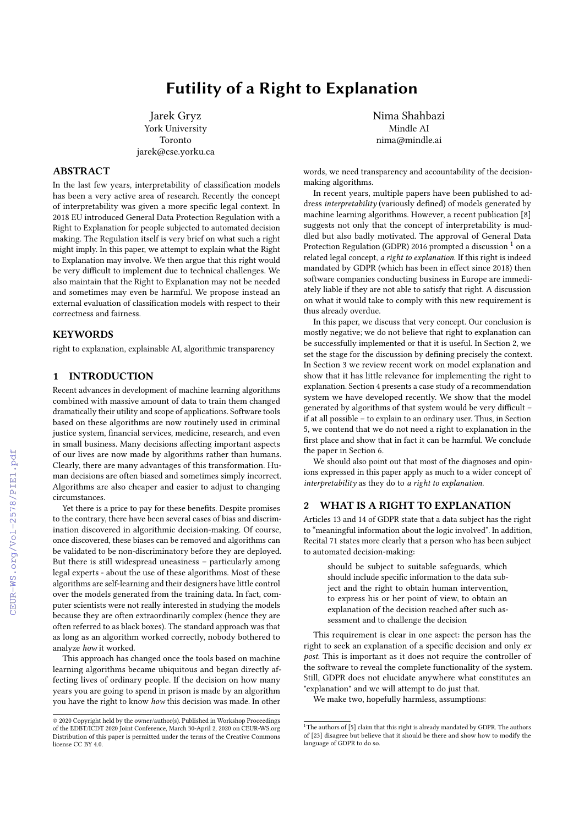# Futility of a Right to Explanation

Jarek Gryz York University Toronto jarek@cse.yorku.ca

# ABSTRACT

In the last few years, interpretability of classification models has been a very active area of research. Recently the concept of interpretability was given a more specific legal context. In 2018 EU introduced General Data Protection Regulation with a Right to Explanation for people subjected to automated decision making. The Regulation itself is very brief on what such a right might imply. In this paper, we attempt to explain what the Right to Explanation may involve. We then argue that this right would be very difficult to implement due to technical challenges. We also maintain that the Right to Explanation may not be needed and sometimes may even be harmful. We propose instead an external evaluation of classification models with respect to their correctness and fairness.

# **KEYWORDS**

right to explanation, explainable AI, algorithmic transparency

## 1 INTRODUCTION

Recent advances in development of machine learning algorithms combined with massive amount of data to train them changed dramatically their utility and scope of applications. Software tools based on these algorithms are now routinely used in criminal justice system, financial services, medicine, research, and even in small business. Many decisions affecting important aspects of our lives are now made by algorithms rather than humans. Clearly, there are many advantages of this transformation. Human decisions are often biased and sometimes simply incorrect. Algorithms are also cheaper and easier to adjust to changing circumstances.

Yet there is a price to pay for these benefits. Despite promises to the contrary, there have been several cases of bias and discrimination discovered in algorithmic decision-making. Of course, once discovered, these biases can be removed and algorithms can be validated to be non-discriminatory before they are deployed. But there is still widespread uneasiness – particularly among legal experts - about the use of these algorithms. Most of these algorithms are self-learning and their designers have little control over the models generated from the training data. In fact, computer scientists were not really interested in studying the models because they are often extraordinarily complex (hence they are often referred to as black boxes). The standard approach was that as long as an algorithm worked correctly, nobody bothered to analyze how it worked.

This approach has changed once the tools based on machine learning algorithms became ubiquitous and began directly affecting lives of ordinary people. If the decision on how many years you are going to spend in prison is made by an algorithm you have the right to know how this decision was made. In other

Nima Shahbazi Mindle AI nima@mindle.ai

words, we need transparency and accountability of the decisionmaking algorithms.

In recent years, multiple papers have been published to address interpretability (variously defined) of models generated by machine learning algorithms. However, a recent publication [\[8\]](#page--1-0) suggests not only that the concept of interpretability is muddled but also badly motivated. The approval of General Data Protection Regulation (GDPR) 20[1](#page-0-0)6 prompted a discussion  $^1$  on a related legal concept, a right to explanation. If this right is indeed mandated by GDPR (which has been in effect since 2018) then software companies conducting business in Europe are immediately liable if they are not able to satisfy that right. A discussion on what it would take to comply with this new requirement is thus already overdue.

In this paper, we discuss that very concept. Our conclusion is mostly negative; we do not believe that right to explanation can be successfully implemented or that it is useful. In Section 2, we set the stage for the discussion by defining precisely the context. In Section 3 we review recent work on model explanation and show that it has little relevance for implementing the right to explanation. Section 4 presents a case study of a recommendation system we have developed recently. We show that the model generated by algorithms of that system would be very difficult – if at all possible – to explain to an ordinary user. Thus, in Section 5, we contend that we do not need a right to explanation in the first place and show that in fact it can be harmful. We conclude the paper in Section 6.

We should also point out that most of the diagnoses and opinions expressed in this paper apply as much to a wider concept of  $interpretability$  as they do to a right to explanation.

#### 2 WHAT IS A RIGHT TO EXPLANATION

Articles 13 and 14 of GDPR state that a data subject has the right to "meaningful information about the logic involved". In addition, Recital 71 states more clearly that a person who has been subject to automated decision-making:

> should be subject to suitable safeguards, which should include specific information to the data subject and the right to obtain human intervention, to express his or her point of view, to obtain an explanation of the decision reached after such assessment and to challenge the decision

This requirement is clear in one aspect: the person has the right to seek an explanation of a specific decision and only ex post. This is important as it does not require the controller of the software to reveal the complete functionality of the system. Still, GDPR does not elucidate anywhere what constitutes an "explanation" and we will attempt to do just that.

We make two, hopefully harmless, assumptions:

<sup>©</sup> 2020 Copyright held by the owner/author(s). Published in Workshop Proceedings of the EDBT/ICDT 2020 Joint Conference, March 30-April 2, 2020 on CEUR-WS.org Distribution of this paper is permitted under the terms of the Creative Commons license CC BY 4.0.

<span id="page-0-0"></span> $1$ <sup>1</sup>The authors of [\[5\]](#page--1-1) claim that this right is already mandated by GDPR. The authors of [\[23\]](#page--1-2) disagree but believe that it should be there and show how to modify the language of GDPR to do so.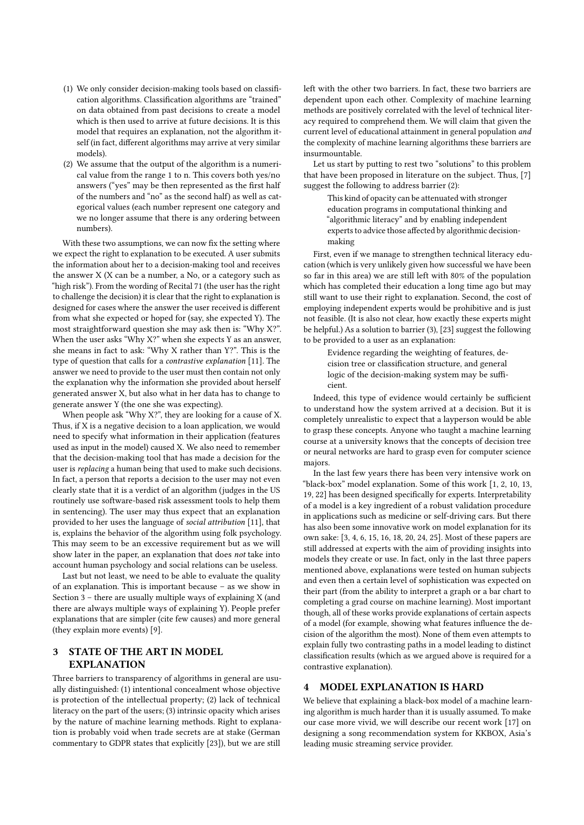- (1) We only consider decision-making tools based on classification algorithms. Classification algorithms are "trained" on data obtained from past decisions to create a model which is then used to arrive at future decisions. It is this model that requires an explanation, not the algorithm itself (in fact, different algorithms may arrive at very similar models).
- (2) We assume that the output of the algorithm is a numerical value from the range 1 to n. This covers both yes/no answers ("yes" may be then represented as the first half of the numbers and "no" as the second half) as well as categorical values (each number represent one category and we no longer assume that there is any ordering between numbers).

With these two assumptions, we can now fix the setting where we expect the right to explanation to be executed. A user submits the information about her to a decision-making tool and receives the answer X (X can be a number, a No, or a category such as "high risk"). From the wording of Recital 71 (the user has the right to challenge the decision) it is clear that the right to explanation is designed for cases where the answer the user received is different from what she expected or hoped for (say, she expected Y). The most straightforward question she may ask then is: "Why X?". When the user asks "Why X?" when she expects Y as an answer, she means in fact to ask: "Why X rather than Y?". This is the type of question that calls for a contrastive explanation [\[11\]](#page-4-0). The answer we need to provide to the user must then contain not only the explanation why the information she provided about herself generated answer X, but also what in her data has to change to generate answer Y (the one she was expecting).

When people ask "Why X?", they are looking for a cause of X. Thus, if X is a negative decision to a loan application, we would need to specify what information in their application (features used as input in the model) caused X. We also need to remember that the decision-making tool that has made a decision for the user is replacing a human being that used to make such decisions. In fact, a person that reports a decision to the user may not even clearly state that it is a verdict of an algorithm (judges in the US routinely use software-based risk assessment tools to help them in sentencing). The user may thus expect that an explanation provided to her uses the language of social attribution [\[11\]](#page-4-0), that is, explains the behavior of the algorithm using folk psychology. This may seem to be an excessive requirement but as we will show later in the paper, an explanation that does not take into account human psychology and social relations can be useless.

Last but not least, we need to be able to evaluate the quality of an explanation. This is important because – as we show in Section 3 – there are usually multiple ways of explaining X (and there are always multiple ways of explaining Y). People prefer explanations that are simpler (cite few causes) and more general (they explain more events) [\[9\]](#page-4-1).

# 3 STATE OF THE ART IN MODEL **EXPLANATION**

Three barriers to transparency of algorithms in general are usually distinguished: (1) intentional concealment whose objective is protection of the intellectual property; (2) lack of technical literacy on the part of the users; (3) intrinsic opacity which arises by the nature of machine learning methods. Right to explanation is probably void when trade secrets are at stake (German commentary to GDPR states that explicitly [\[23\]](#page-4-2)), but we are still

left with the other two barriers. In fact, these two barriers are dependent upon each other. Complexity of machine learning methods are positively correlated with the level of technical literacy required to comprehend them. We will claim that given the current level of educational attainment in general population and the complexity of machine learning algorithms these barriers are insurmountable.

Let us start by putting to rest two "solutions" to this problem that have been proposed in literature on the subject. Thus, [\[7\]](#page-4-3) suggest the following to address barrier (2):

This kind of opacity can be attenuated with stronger education programs in computational thinking and "algorithmic literacy" and by enabling independent experts to advice those affected by algorithmic decisionmaking

First, even if we manage to strengthen technical literacy education (which is very unlikely given how successful we have been so far in this area) we are still left with 80% of the population which has completed their education a long time ago but may still want to use their right to explanation. Second, the cost of employing independent experts would be prohibitive and is just not feasible. (It is also not clear, how exactly these experts might be helpful.) As a solution to barrier (3), [\[23\]](#page-4-2) suggest the following to be provided to a user as an explanation:

> Evidence regarding the weighting of features, decision tree or classification structure, and general logic of the decision-making system may be sufficient.

Indeed, this type of evidence would certainly be sufficient to understand how the system arrived at a decision. But it is completely unrealistic to expect that a layperson would be able to grasp these concepts. Anyone who taught a machine learning course at a university knows that the concepts of decision tree or neural networks are hard to grasp even for computer science majors.

In the last few years there has been very intensive work on "black-box" model explanation. Some of this work [\[1,](#page-4-4) [2,](#page-4-5) [10,](#page-4-6) [13,](#page-4-7) [19,](#page-4-8) [22\]](#page-4-9) has been designed specifically for experts. Interpretability of a model is a key ingredient of a robust validation procedure in applications such as medicine or self-driving cars. But there has also been some innovative work on model explanation for its own sake: [\[3,](#page-4-10) [4,](#page-4-11) [6,](#page-4-12) [15,](#page-4-13) [16,](#page-4-14) [18,](#page-4-15) [20,](#page-4-16) [24,](#page-4-17) [25\]](#page-4-18). Most of these papers are still addressed at experts with the aim of providing insights into models they create or use. In fact, only in the last three papers mentioned above, explanations were tested on human subjects and even then a certain level of sophistication was expected on their part (from the ability to interpret a graph or a bar chart to completing a grad course on machine learning). Most important though, all of these works provide explanations of certain aspects of a model (for example, showing what features influence the decision of the algorithm the most). None of them even attempts to explain fully two contrasting paths in a model leading to distinct classification results (which as we argued above is required for a contrastive explanation).

#### 4 MODEL EXPLANATION IS HARD

We believe that explaining a black-box model of a machine learning algorithm is much harder than it is usually assumed. To make our case more vivid, we will describe our recent work [\[17\]](#page-4-19) on designing a song recommendation system for KKBOX, Asia's leading music streaming service provider.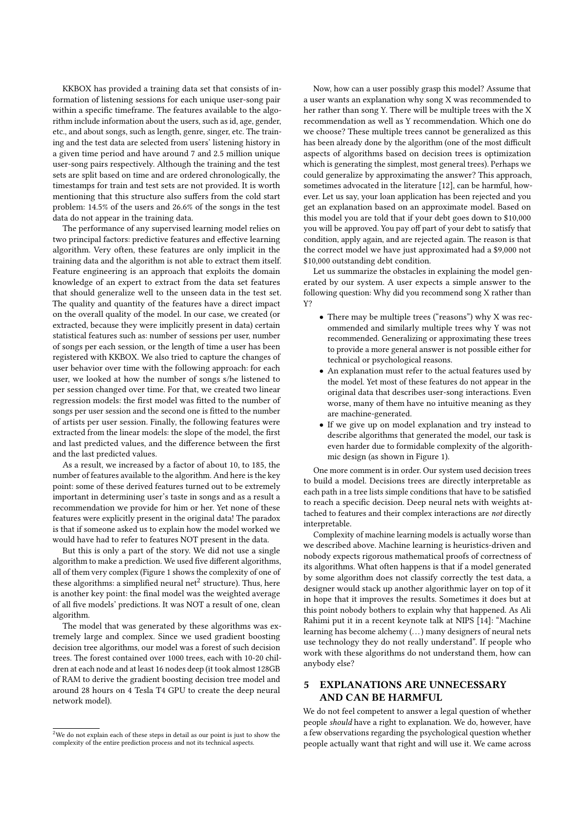KKBOX has provided a training data set that consists of information of listening sessions for each unique user-song pair within a specific timeframe. The features available to the algorithm include information about the users, such as id, age, gender, etc., and about songs, such as length, genre, singer, etc. The training and the test data are selected from users' listening history in a given time period and have around 7 and 2.5 million unique user-song pairs respectively. Although the training and the test sets are split based on time and are ordered chronologically, the timestamps for train and test sets are not provided. It is worth mentioning that this structure also suffers from the cold start problem: 14.5% of the users and 26.6% of the songs in the test data do not appear in the training data.

The performance of any supervised learning model relies on two principal factors: predictive features and effective learning algorithm. Very often, these features are only implicit in the training data and the algorithm is not able to extract them itself. Feature engineering is an approach that exploits the domain knowledge of an expert to extract from the data set features that should generalize well to the unseen data in the test set. The quality and quantity of the features have a direct impact on the overall quality of the model. In our case, we created (or extracted, because they were implicitly present in data) certain statistical features such as: number of sessions per user, number of songs per each session, or the length of time a user has been registered with KKBOX. We also tried to capture the changes of user behavior over time with the following approach: for each user, we looked at how the number of songs s/he listened to per session changed over time. For that, we created two linear regression models: the first model was fitted to the number of songs per user session and the second one is fitted to the number of artists per user session. Finally, the following features were extracted from the linear models: the slope of the model, the first and last predicted values, and the difference between the first and the last predicted values.

As a result, we increased by a factor of about 10, to 185, the number of features available to the algorithm. And here is the key point: some of these derived features turned out to be extremely important in determining user's taste in songs and as a result a recommendation we provide for him or her. Yet none of these features were explicitly present in the original data! The paradox is that if someone asked us to explain how the model worked we would have had to refer to features NOT present in the data.

But this is only a part of the story. We did not use a single algorithm to make a prediction. We used five different algorithms, all of them very complex (Figure [1](#page-3-0) shows the complexity of one of these algorithms: a simplified neural net $^2$  $^2$  structure). Thus, here is another key point: the final model was the weighted average of all five models' predictions. It was NOT a result of one, clean algorithm.

The model that was generated by these algorithms was extremely large and complex. Since we used gradient boosting decision tree algorithms, our model was a forest of such decision trees. The forest contained over 1000 trees, each with 10-20 children at each node and at least 16 nodes deep (it took almost 128GB of RAM to derive the gradient boosting decision tree model and around 28 hours on 4 Tesla T4 GPU to create the deep neural network model).

Now, how can a user possibly grasp this model? Assume that a user wants an explanation why song X was recommended to her rather than song Y. There will be multiple trees with the X recommendation as well as Y recommendation. Which one do we choose? These multiple trees cannot be generalized as this has been already done by the algorithm (one of the most difficult aspects of algorithms based on decision trees is optimization which is generating the simplest, most general trees). Perhaps we could generalize by approximating the answer? This approach, sometimes advocated in the literature [\[12\]](#page-4-20), can be harmful, however. Let us say, your loan application has been rejected and you get an explanation based on an approximate model. Based on this model you are told that if your debt goes down to \$10,000 you will be approved. You pay off part of your debt to satisfy that condition, apply again, and are rejected again. The reason is that the correct model we have just approximated had a \$9,000 not \$10,000 outstanding debt condition.

Let us summarize the obstacles in explaining the model generated by our system. A user expects a simple answer to the following question: Why did you recommend song X rather than Y?

- There may be multiple trees ("reasons") why X was recommended and similarly multiple trees why Y was not recommended. Generalizing or approximating these trees to provide a more general answer is not possible either for technical or psychological reasons.
- An explanation must refer to the actual features used by the model. Yet most of these features do not appear in the original data that describes user-song interactions. Even worse, many of them have no intuitive meaning as they are machine-generated.
- If we give up on model explanation and try instead to describe algorithms that generated the model, our task is even harder due to formidable complexity of the algorithmic design (as shown in Figure [1\)](#page-3-0).

One more comment is in order. Our system used decision trees to build a model. Decisions trees are directly interpretable as each path in a tree lists simple conditions that have to be satisfied to reach a specific decision. Deep neural nets with weights attached to features and their complex interactions are not directly interpretable.

Complexity of machine learning models is actually worse than we described above. Machine learning is heuristics-driven and nobody expects rigorous mathematical proofs of correctness of its algorithms. What often happens is that if a model generated by some algorithm does not classify correctly the test data, a designer would stack up another algorithmic layer on top of it in hope that it improves the results. Sometimes it does but at this point nobody bothers to explain why that happened. As Ali Rahimi put it in a recent keynote talk at NIPS [\[14\]](#page-4-21): "Machine learning has become alchemy (. . .) many designers of neural nets use technology they do not really understand". If people who work with these algorithms do not understand them, how can anybody else?

# 5 EXPLANATIONS ARE UNNECESSARY AND CAN BE HARMFUL

We do not feel competent to answer a legal question of whether people should have a right to explanation. We do, however, have a few observations regarding the psychological question whether people actually want that right and will use it. We came across

<span id="page-2-0"></span> $2$ We do not explain each of these steps in detail as our point is just to show the complexity of the entire prediction process and not its technical aspects.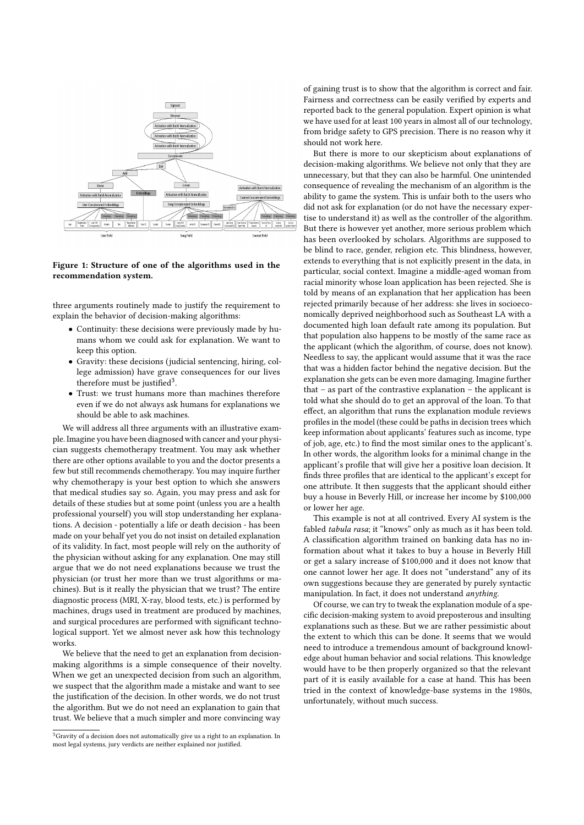<span id="page-3-0"></span>

#### Figure 1: Structure of one of the algorithms used in the recommendation system.

three arguments routinely made to justify the requirement to explain the behavior of decision-making algorithms:

- Continuity: these decisions were previously made by humans whom we could ask for explanation. We want to keep this option.
- Gravity: these decisions (judicial sentencing, hiring, college admission) have grave consequences for our lives therefore must be justified<sup>[3](#page-3-1)</sup>.
- Trust: we trust humans more than machines therefore even if we do not always ask humans for explanations we should be able to ask machines.

We will address all three arguments with an illustrative example. Imagine you have been diagnosed with cancer and your physician suggests chemotherapy treatment. You may ask whether there are other options available to you and the doctor presents a few but still recommends chemotherapy. You may inquire further why chemotherapy is your best option to which she answers that medical studies say so. Again, you may press and ask for details of these studies but at some point (unless you are a health professional yourself) you will stop understanding her explanations. A decision - potentially a life or death decision - has been made on your behalf yet you do not insist on detailed explanation of its validity. In fact, most people will rely on the authority of the physician without asking for any explanation. One may still argue that we do not need explanations because we trust the physician (or trust her more than we trust algorithms or machines). But is it really the physician that we trust? The entire diagnostic process (MRI, X-ray, blood tests, etc.) is performed by machines, drugs used in treatment are produced by machines, and surgical procedures are performed with significant technological support. Yet we almost never ask how this technology works.

We believe that the need to get an explanation from decisionmaking algorithms is a simple consequence of their novelty. When we get an unexpected decision from such an algorithm, we suspect that the algorithm made a mistake and want to see the justification of the decision. In other words, we do not trust the algorithm. But we do not need an explanation to gain that trust. We believe that a much simpler and more convincing way

of gaining trust is to show that the algorithm is correct and fair. Fairness and correctness can be easily verified by experts and reported back to the general population. Expert opinion is what we have used for at least 100 years in almost all of our technology, from bridge safety to GPS precision. There is no reason why it should not work here.

But there is more to our skepticism about explanations of decision-making algorithms. We believe not only that they are unnecessary, but that they can also be harmful. One unintended consequence of revealing the mechanism of an algorithm is the ability to game the system. This is unfair both to the users who did not ask for explanation (or do not have the necessary expertise to understand it) as well as the controller of the algorithm. But there is however yet another, more serious problem which has been overlooked by scholars. Algorithms are supposed to be blind to race, gender, religion etc. This blindness, however, extends to everything that is not explicitly present in the data, in particular, social context. Imagine a middle-aged woman from racial minority whose loan application has been rejected. She is told by means of an explanation that her application has been rejected primarily because of her address: she lives in socioeconomically deprived neighborhood such as Southeast LA with a documented high loan default rate among its population. But that population also happens to be mostly of the same race as the applicant (which the algorithm, of course, does not know). Needless to say, the applicant would assume that it was the race that was a hidden factor behind the negative decision. But the explanation she gets can be even more damaging. Imagine further that – as part of the contrastive explanation – the applicant is told what she should do to get an approval of the loan. To that effect, an algorithm that runs the explanation module reviews profiles in the model (these could be paths in decision trees which keep information about applicants' features such as income, type of job, age, etc.) to find the most similar ones to the applicant's. In other words, the algorithm looks for a minimal change in the applicant's profile that will give her a positive loan decision. It finds three profiles that are identical to the applicant's except for one attribute. It then suggests that the applicant should either buy a house in Beverly Hill, or increase her income by \$100,000 or lower her age.

This example is not at all contrived. Every AI system is the fabled tabula rasa; it "knows" only as much as it has been told. A classification algorithm trained on banking data has no information about what it takes to buy a house in Beverly Hill or get a salary increase of \$100,000 and it does not know that one cannot lower her age. It does not "understand" any of its own suggestions because they are generated by purely syntactic manipulation. In fact, it does not understand anything.

Of course, we can try to tweak the explanation module of a specific decision-making system to avoid preposterous and insulting explanations such as these. But we are rather pessimistic about the extent to which this can be done. It seems that we would need to introduce a tremendous amount of background knowledge about human behavior and social relations. This knowledge would have to be then properly organized so that the relevant part of it is easily available for a case at hand. This has been tried in the context of knowledge-base systems in the 1980s, unfortunately, without much success.

<span id="page-3-1"></span> $\overline{{}^3\text{Gravity}}$  of a decision does not automatically give us a right to an explanation. In most legal systems, jury verdicts are neither explained nor justified.